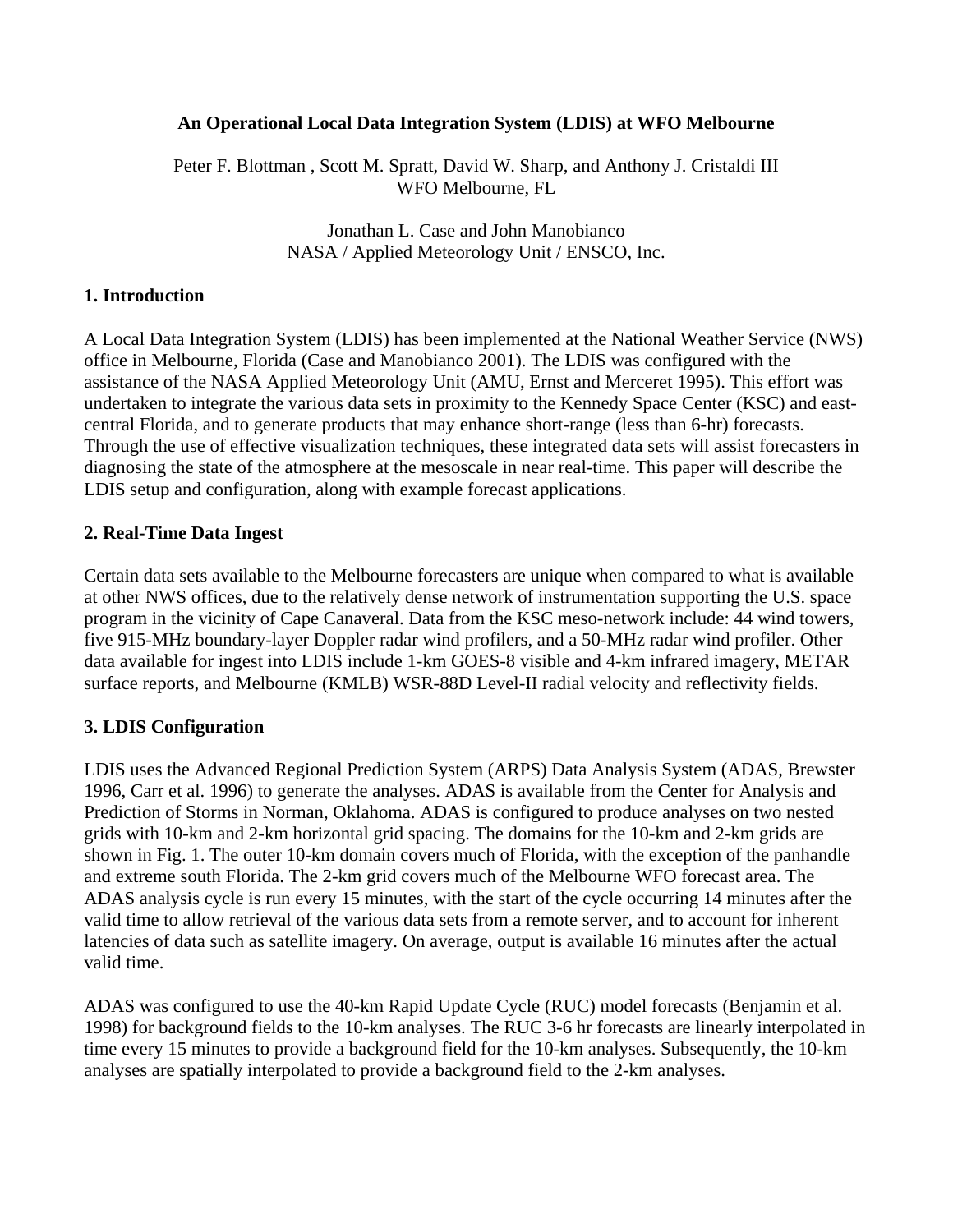### **An Operational Local Data Integration System (LDIS) at WFO Melbourne**

Peter F. Blottman , Scott M. Spratt, David W. Sharp, and Anthony J. Cristaldi III WFO Melbourne, FL

> Jonathan L. Case and John Manobianco NASA / Applied Meteorology Unit / ENSCO, Inc.

### **1. Introduction**

A Local Data Integration System (LDIS) has been implemented at the National Weather Service (NWS) office in Melbourne, Florida (Case and Manobianco 2001). The LDIS was configured with the assistance of the NASA Applied Meteorology Unit (AMU, Ernst and Merceret 1995). This effort was undertaken to integrate the various data sets in proximity to the Kennedy Space Center (KSC) and eastcentral Florida, and to generate products that may enhance short-range (less than 6-hr) forecasts. Through the use of effective visualization techniques, these integrated data sets will assist forecasters in diagnosing the state of the atmosphere at the mesoscale in near real-time. This paper will describe the LDIS setup and configuration, along with example forecast applications.

#### **2. Real-Time Data Ingest**

Certain data sets available to the Melbourne forecasters are unique when compared to what is available at other NWS offices, due to the relatively dense network of instrumentation supporting the U.S. space program in the vicinity of Cape Canaveral. Data from the KSC meso-network include: 44 wind towers, five 915-MHz boundary-layer Doppler radar wind profilers, and a 50-MHz radar wind profiler. Other data available for ingest into LDIS include 1-km GOES-8 visible and 4-km infrared imagery, METAR surface reports, and Melbourne (KMLB) WSR-88D Level-II radial velocity and reflectivity fields.

#### **3. LDIS Configuration**

LDIS uses the Advanced Regional Prediction System (ARPS) Data Analysis System (ADAS, Brewster 1996, Carr et al. 1996) to generate the analyses. ADAS is available from the Center for Analysis and Prediction of Storms in Norman, Oklahoma. ADAS is configured to produce analyses on two nested grids with 10-km and 2-km horizontal grid spacing. The domains for the 10-km and 2-km grids are shown in Fig. 1. The outer 10-km domain covers much of Florida, with the exception of the panhandle and extreme south Florida. The 2-km grid covers much of the Melbourne WFO forecast area. The ADAS analysis cycle is run every 15 minutes, with the start of the cycle occurring 14 minutes after the valid time to allow retrieval of the various data sets from a remote server, and to account for inherent latencies of data such as satellite imagery. On average, output is available 16 minutes after the actual valid time.

ADAS was configured to use the 40-km Rapid Update Cycle (RUC) model forecasts (Benjamin et al. 1998) for background fields to the 10-km analyses. The RUC 3-6 hr forecasts are linearly interpolated in time every 15 minutes to provide a background field for the 10-km analyses. Subsequently, the 10-km analyses are spatially interpolated to provide a background field to the 2-km analyses.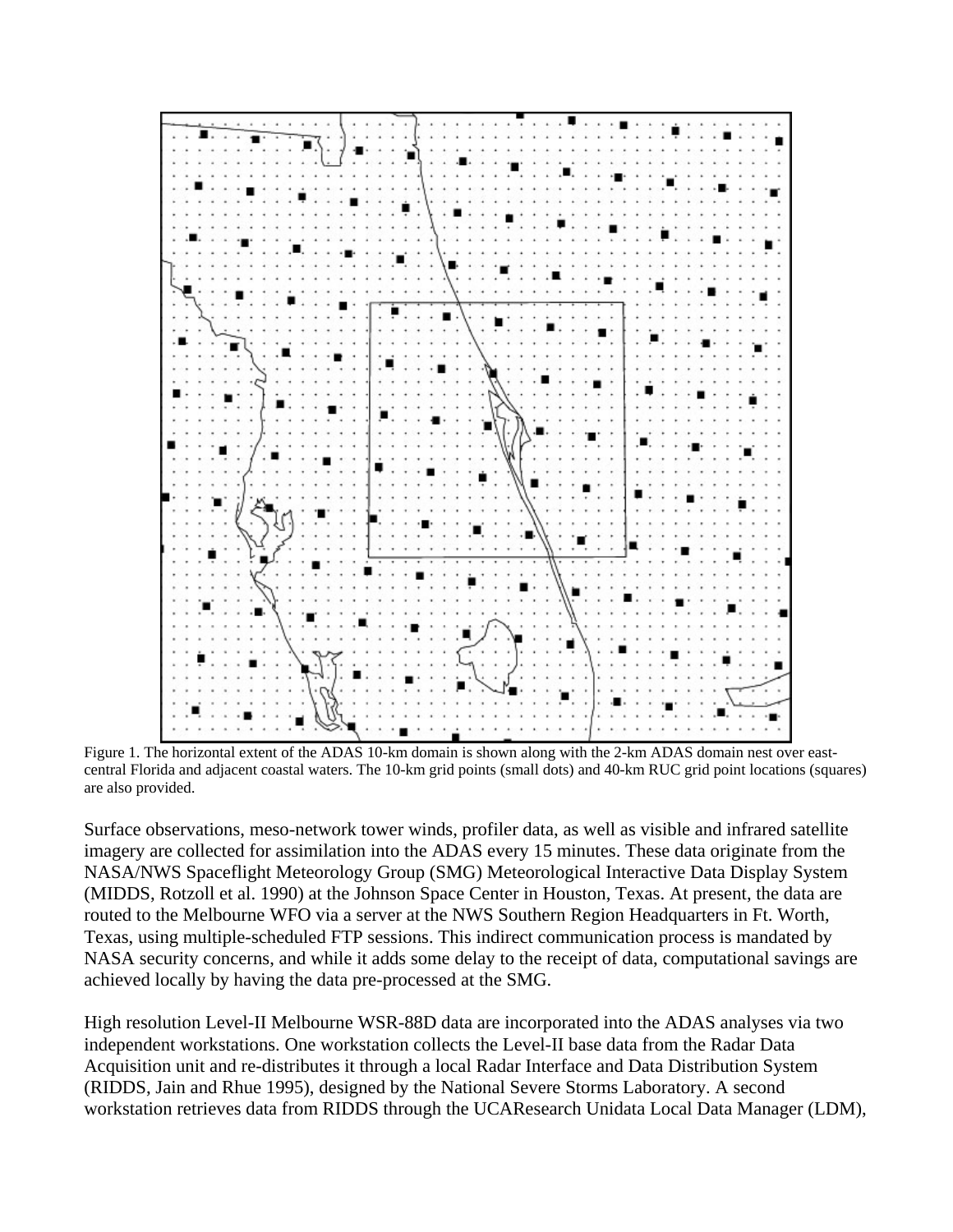

Figure 1. The horizontal extent of the ADAS 10-km domain is shown along with the 2-km ADAS domain nest over eastcentral Florida and adjacent coastal waters. The 10-km grid points (small dots) and 40-km RUC grid point locations (squares) are also provided.

Surface observations, meso-network tower winds, profiler data, as well as visible and infrared satellite imagery are collected for assimilation into the ADAS every 15 minutes. These data originate from the NASA/NWS Spaceflight Meteorology Group (SMG) Meteorological Interactive Data Display System (MIDDS, Rotzoll et al. 1990) at the Johnson Space Center in Houston, Texas. At present, the data are routed to the Melbourne WFO via a server at the NWS Southern Region Headquarters in Ft. Worth, Texas, using multiple-scheduled FTP sessions. This indirect communication process is mandated by NASA security concerns, and while it adds some delay to the receipt of data, computational savings are achieved locally by having the data pre-processed at the SMG.

High resolution Level-II Melbourne WSR-88D data are incorporated into the ADAS analyses via two independent workstations. One workstation collects the Level-II base data from the Radar Data Acquisition unit and re-distributes it through a local Radar Interface and Data Distribution System (RIDDS, Jain and Rhue 1995), designed by the National Severe Storms Laboratory. A second workstation retrieves data from RIDDS through the UCAResearch Unidata Local Data Manager (LDM),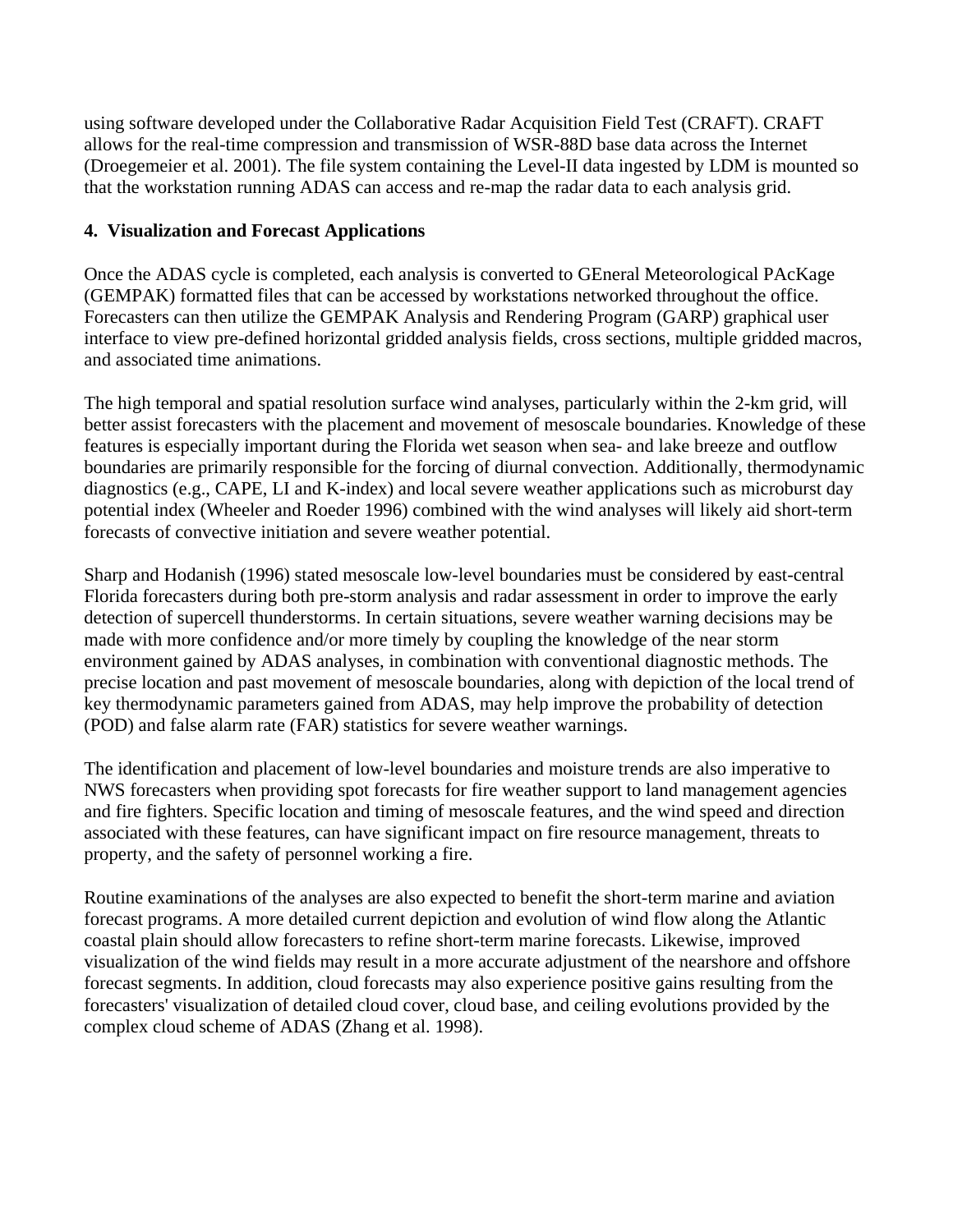using software developed under the Collaborative Radar Acquisition Field Test (CRAFT). CRAFT allows for the real-time compression and transmission of WSR-88D base data across the Internet (Droegemeier et al. 2001). The file system containing the Level-II data ingested by LDM is mounted so that the workstation running ADAS can access and re-map the radar data to each analysis grid.

# **4. Visualization and Forecast Applications**

Once the ADAS cycle is completed, each analysis is converted to GEneral Meteorological PAcKage (GEMPAK) formatted files that can be accessed by workstations networked throughout the office. Forecasters can then utilize the GEMPAK Analysis and Rendering Program (GARP) graphical user interface to view pre-defined horizontal gridded analysis fields, cross sections, multiple gridded macros, and associated time animations.

The high temporal and spatial resolution surface wind analyses, particularly within the 2-km grid, will better assist forecasters with the placement and movement of mesoscale boundaries. Knowledge of these features is especially important during the Florida wet season when sea- and lake breeze and outflow boundaries are primarily responsible for the forcing of diurnal convection. Additionally, thermodynamic diagnostics (e.g., CAPE, LI and K-index) and local severe weather applications such as microburst day potential index (Wheeler and Roeder 1996) combined with the wind analyses will likely aid short-term forecasts of convective initiation and severe weather potential.

Sharp and Hodanish (1996) stated mesoscale low-level boundaries must be considered by east-central Florida forecasters during both pre-storm analysis and radar assessment in order to improve the early detection of supercell thunderstorms. In certain situations, severe weather warning decisions may be made with more confidence and/or more timely by coupling the knowledge of the near storm environment gained by ADAS analyses, in combination with conventional diagnostic methods. The precise location and past movement of mesoscale boundaries, along with depiction of the local trend of key thermodynamic parameters gained from ADAS, may help improve the probability of detection (POD) and false alarm rate (FAR) statistics for severe weather warnings.

The identification and placement of low-level boundaries and moisture trends are also imperative to NWS forecasters when providing spot forecasts for fire weather support to land management agencies and fire fighters. Specific location and timing of mesoscale features, and the wind speed and direction associated with these features, can have significant impact on fire resource management, threats to property, and the safety of personnel working a fire.

Routine examinations of the analyses are also expected to benefit the short-term marine and aviation forecast programs. A more detailed current depiction and evolution of wind flow along the Atlantic coastal plain should allow forecasters to refine short-term marine forecasts. Likewise, improved visualization of the wind fields may result in a more accurate adjustment of the nearshore and offshore forecast segments. In addition, cloud forecasts may also experience positive gains resulting from the forecasters' visualization of detailed cloud cover, cloud base, and ceiling evolutions provided by the complex cloud scheme of ADAS (Zhang et al. 1998).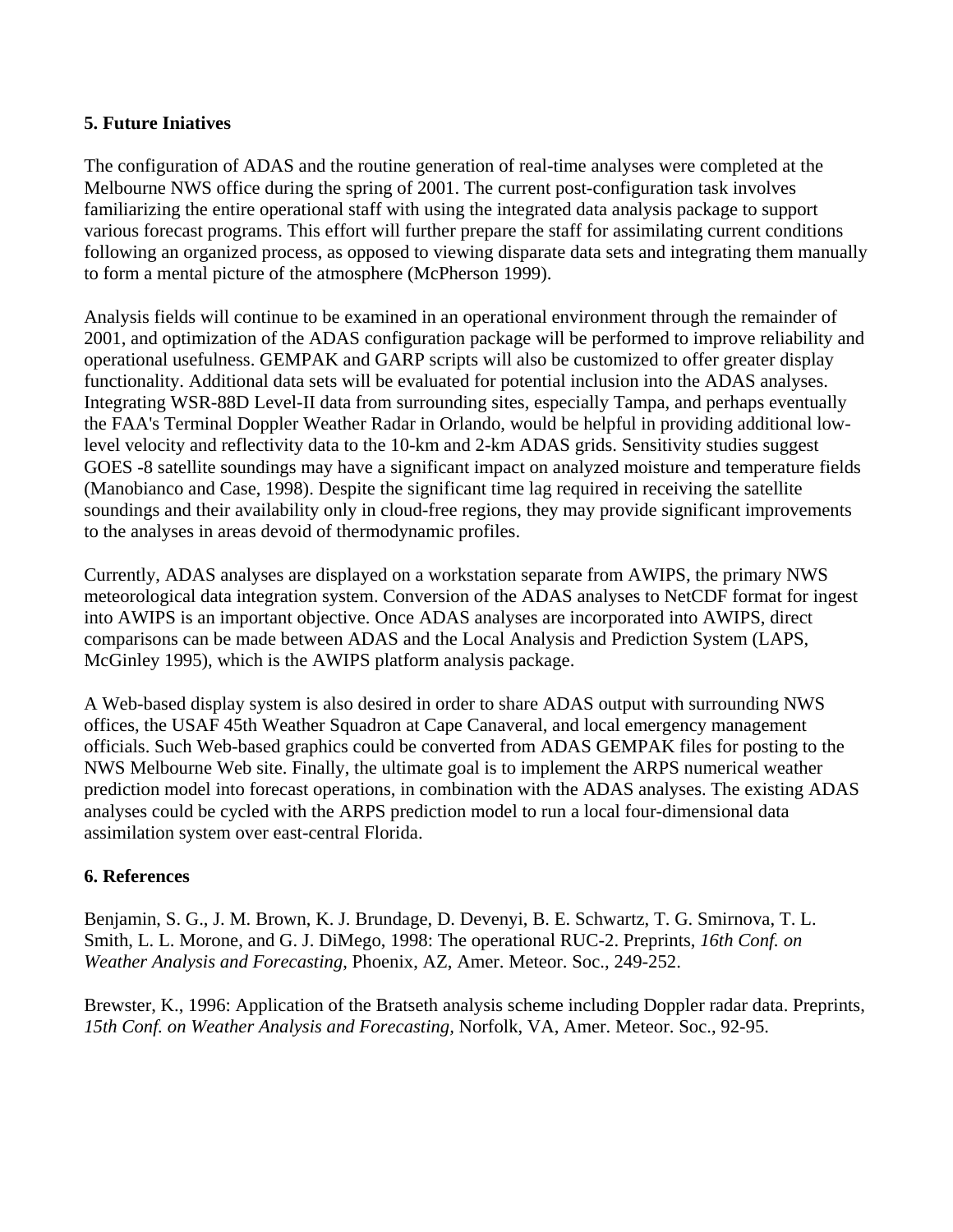## **5. Future Iniatives**

The configuration of ADAS and the routine generation of real-time analyses were completed at the Melbourne NWS office during the spring of 2001. The current post-configuration task involves familiarizing the entire operational staff with using the integrated data analysis package to support various forecast programs. This effort will further prepare the staff for assimilating current conditions following an organized process, as opposed to viewing disparate data sets and integrating them manually to form a mental picture of the atmosphere (McPherson 1999).

Analysis fields will continue to be examined in an operational environment through the remainder of 2001, and optimization of the ADAS configuration package will be performed to improve reliability and operational usefulness. GEMPAK and GARP scripts will also be customized to offer greater display functionality. Additional data sets will be evaluated for potential inclusion into the ADAS analyses. Integrating WSR-88D Level-II data from surrounding sites, especially Tampa, and perhaps eventually the FAA's Terminal Doppler Weather Radar in Orlando, would be helpful in providing additional lowlevel velocity and reflectivity data to the 10-km and 2-km ADAS grids. Sensitivity studies suggest GOES -8 satellite soundings may have a significant impact on analyzed moisture and temperature fields (Manobianco and Case, 1998). Despite the significant time lag required in receiving the satellite soundings and their availability only in cloud-free regions, they may provide significant improvements to the analyses in areas devoid of thermodynamic profiles.

Currently, ADAS analyses are displayed on a workstation separate from AWIPS, the primary NWS meteorological data integration system. Conversion of the ADAS analyses to NetCDF format for ingest into AWIPS is an important objective. Once ADAS analyses are incorporated into AWIPS, direct comparisons can be made between ADAS and the Local Analysis and Prediction System (LAPS, McGinley 1995), which is the AWIPS platform analysis package.

A Web-based display system is also desired in order to share ADAS output with surrounding NWS offices, the USAF 45th Weather Squadron at Cape Canaveral, and local emergency management officials. Such Web-based graphics could be converted from ADAS GEMPAK files for posting to the NWS Melbourne Web site. Finally, the ultimate goal is to implement the ARPS numerical weather prediction model into forecast operations, in combination with the ADAS analyses. The existing ADAS analyses could be cycled with the ARPS prediction model to run a local four-dimensional data assimilation system over east-central Florida.

## **6. References**

Benjamin, S. G., J. M. Brown, K. J. Brundage, D. Devenyi, B. E. Schwartz, T. G. Smirnova, T. L. Smith, L. L. Morone, and G. J. DiMego, 1998: The operational RUC-2. Preprints, *16th Conf. on Weather Analysis and Forecasting*, Phoenix, AZ, Amer. Meteor. Soc., 249-252.

Brewster, K., 1996: Application of the Bratseth analysis scheme including Doppler radar data. Preprints, *15th Conf. on Weather Analysis and Forecasting,* Norfolk, VA, Amer. Meteor. Soc., 92-95.